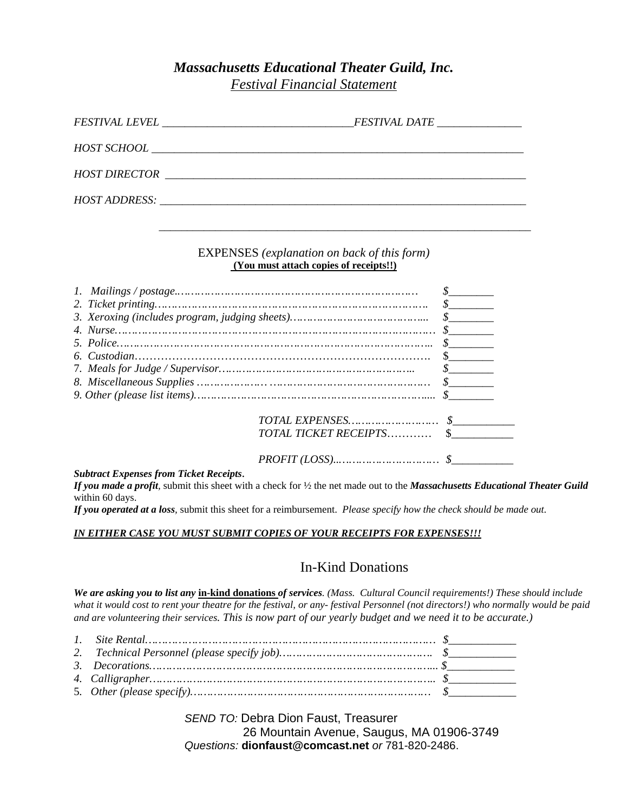# *Massachusetts Educational Theater Guild, Inc.*

*Festival Financial Statement* 

| <i>FESTIVAL DATE ______________</i> |
|-------------------------------------|
|                                     |
|                                     |
|                                     |
|                                     |

#### EXPENSES *(explanation on back of this form)* **(You must attach copies of receipts!!)**

|  | $\frac{\mathcal{S}}{\mathcal{S}}$ |  |
|--|-----------------------------------|--|
|  |                                   |  |
|  |                                   |  |
|  |                                   |  |
|  | TOTAL TICKET RECEIPTS \$          |  |
|  |                                   |  |

#### *Subtract Expenses from Ticket Receipts*.

*If you made a profit,* submit this sheet with a check for ½ the net made out to the *Massachusetts Educational Theater Guild*  within 60 days.

*If you operated at a loss,* submit this sheet for a reimbursement. *Please specify how the check should be made out.* 

#### *IN EITHER CASE YOU MUST SUBMIT COPIES OF YOUR RECEIPTS FOR EXPENSES!!!*

### In-Kind Donations

*We are asking you to list any* **in-kind donations** *of services. (Mass. Cultural Council requirements!) These should include what it would cost to rent your theatre for the festival, or any- festival Personnel (not directors!) who normally would be paid and are volunteering their services. This is now part of our yearly budget and we need it to be accurate.)*

 *SEND TO:* Debra Dion Faust, Treasurer 26 Mountain Avenue, Saugus, MA 01906-3749 *Questions:* **dionfaust@comcast.net** *or* 781-820-2486.